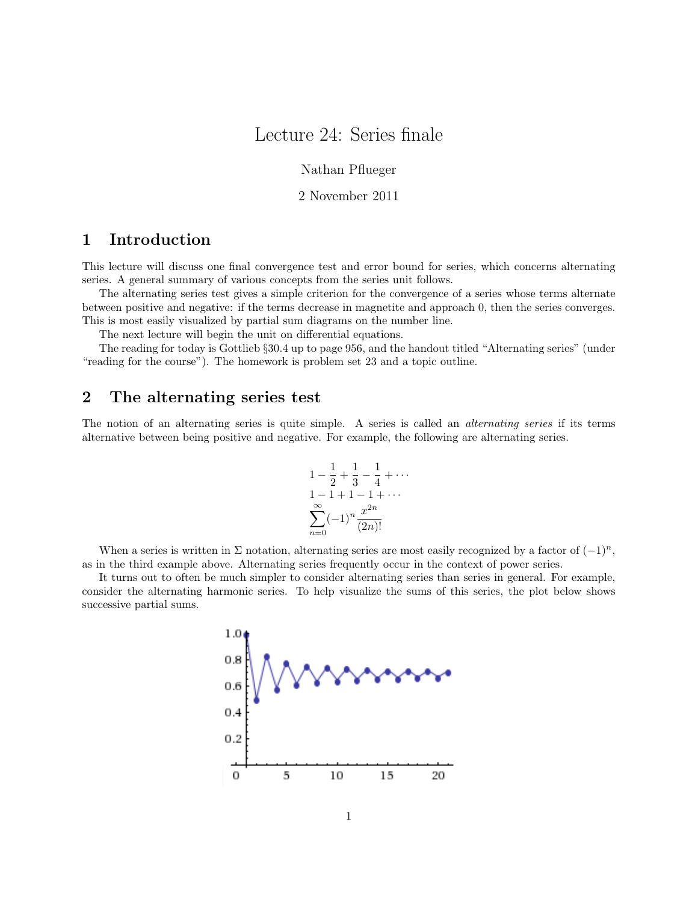# Lecture 24: Series finale

Nathan Pflueger

#### 2 November 2011

## 1 Introduction

This lecture will discuss one final convergence test and error bound for series, which concerns alternating series. A general summary of various concepts from the series unit follows.

The alternating series test gives a simple criterion for the convergence of a series whose terms alternate between positive and negative: if the terms decrease in magnetite and approach 0, then the series converges. This is most easily visualized by partial sum diagrams on the number line.

The next lecture will begin the unit on differential equations.

The reading for today is Gottlieb §30.4 up to page 956, and the handout titled "Alternating series" (under "reading for the course"). The homework is problem set 23 and a topic outline.

### 2 The alternating series test

The notion of an alternating series is quite simple. A series is called an alternating series if its terms alternative between being positive and negative. For example, the following are alternating series.

$$
1 - \frac{1}{2} + \frac{1}{3} - \frac{1}{4} + \dots
$$
  
\n
$$
1 - 1 + 1 - 1 + \dots
$$
  
\n
$$
\sum_{n=0}^{\infty} (-1)^n \frac{x^{2n}}{(2n)!}
$$

When a series is written in  $\Sigma$  notation, alternating series are most easily recognized by a factor of  $(-1)^n$ , as in the third example above. Alternating series frequently occur in the context of power series.

It turns out to often be much simpler to consider alternating series than series in general. For example, consider the alternating harmonic series. To help visualize the sums of this series, the plot below shows successive partial sums.

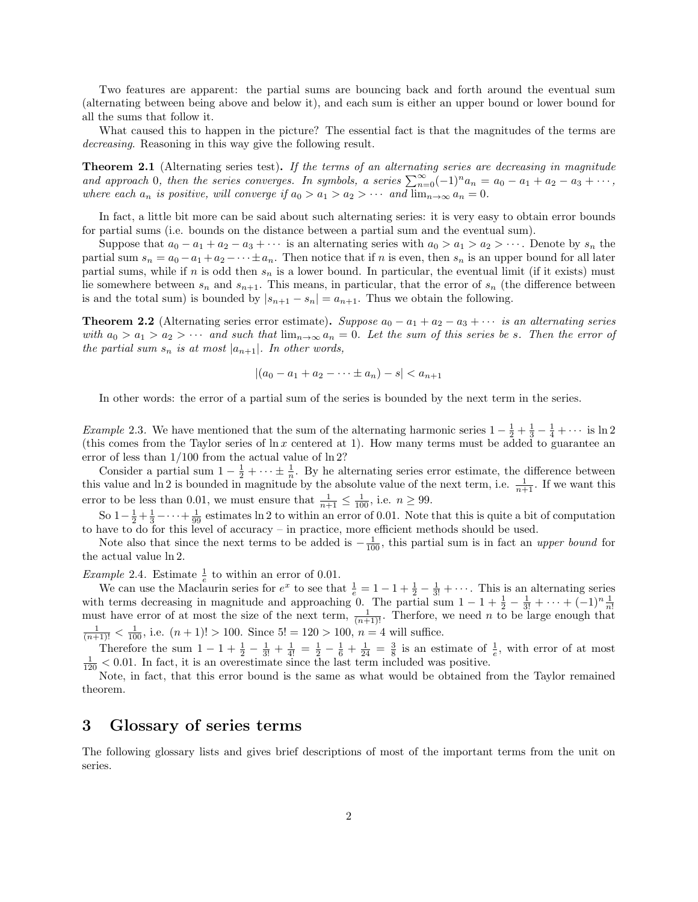Two features are apparent: the partial sums are bouncing back and forth around the eventual sum (alternating between being above and below it), and each sum is either an upper bound or lower bound for all the sums that follow it.

What caused this to happen in the picture? The essential fact is that the magnitudes of the terms are decreasing. Reasoning in this way give the following result.

**Theorem 2.1** (Alternating series test). If the terms of an alternating series are decreasing in magnitude and approach 0, then the series converges. In symbols, a series  $\sum_{n=0}^{\infty}(-1)^n a_n = a_0 - a_1 + a_2 - a_3 + \cdots$ , where each  $a_n$  is positive, will converge if  $a_0 > a_1 > a_2 > \cdots$  and  $\lim_{n \to \infty} a_n = 0$ .

In fact, a little bit more can be said about such alternating series: it is very easy to obtain error bounds for partial sums (i.e. bounds on the distance between a partial sum and the eventual sum).

Suppose that  $a_0 - a_1 + a_2 - a_3 + \cdots$  is an alternating series with  $a_0 > a_1 > a_2 > \cdots$ . Denote by  $s_n$  the partial sum  $s_n = a_0 - a_1 + a_2 - \cdots \pm a_n$ . Then notice that if n is even, then  $s_n$  is an upper bound for all later partial sums, while if n is odd then  $s_n$  is a lower bound. In particular, the eventual limit (if it exists) must lie somewhere between  $s_n$  and  $s_{n+1}$ . This means, in particular, that the error of  $s_n$  (the difference between is and the total sum) is bounded by  $|s_{n+1} - s_n| = a_{n+1}$ . Thus we obtain the following.

**Theorem 2.2** (Alternating series error estimate). Suppose  $a_0 - a_1 + a_2 - a_3 + \cdots$  is an alternating series with  $a_0 > a_1 > a_2 > \cdots$  and such that  $\lim_{n\to\infty} a_n = 0$ . Let the sum of this series be s. Then the error of the partial sum  $s_n$  is at most  $|a_{n+1}|$ . In other words,

$$
|(a_0 - a_1 + a_2 - \dots \pm a_n) - s| < a_{n+1}
$$

In other words: the error of a partial sum of the series is bounded by the next term in the series.

*Example* 2.3. We have mentioned that the sum of the alternating harmonic series  $1 - \frac{1}{2} + \frac{1}{3} - \frac{1}{4} + \cdots$  is ln 2 (this comes from the Taylor series of  $\ln x$  centered at 1). How many terms must be added to guarantee an error of less than  $1/100$  from the actual value of  $\ln 2$ ?

Consider a partial sum  $1 - \frac{1}{2} + \cdots \pm \frac{1}{n}$ . By he alternating series error estimate, the difference between this value and ln 2 is bounded in magnitude by the absolute value of the next term, i.e.  $\frac{1}{n+1}$ . If we want this error to be less than 0.01, we must ensure that  $\frac{1}{n+1} \leq \frac{1}{100}$ , i.e.  $n \geq 99$ .

So  $1-\frac{1}{2}+\frac{1}{3}-\cdots+\frac{1}{99}$  estimates ln 2 to within an error of 0.01. Note that this is quite a bit of computation to have to do for this level of accuracy – in practice, more efficient methods should be used.

Note also that since the next terms to be added is  $-\frac{1}{100}$ , this partial sum is in fact an *upper bound* for the actual value ln 2.

*Example* 2.4. Estimate  $\frac{1}{e}$  to within an error of 0.01.

We can use the Maclaurin series for  $e^x$  to see that  $\frac{1}{e} = 1 - 1 + \frac{1}{2} - \frac{1}{3!} + \cdots$ . This is an alternating series with terms decreasing in magnitude and approaching 0. The partial sum  $1 - 1 + \frac{1}{2} - \frac{1}{3!} + \cdots + (-1)^n \frac{1}{n!}$ <br>must have error of at most the size of the next term,  $\frac{1}{(n+1)!}$ . Therfore, we need *n* to be large enough  $\frac{1}{(n+1)!} < \frac{1}{100}$ , i.e.  $(n+1)! > 100$ . Since  $5! = 120 > 100$ ,  $n = 4$  will suffice.

Therefore the sum  $1 - 1 + \frac{1}{2} - \frac{1}{3!} + \frac{1}{4!} = \frac{1}{2} - \frac{1}{6} + \frac{1}{24} = \frac{3}{8}$  is an estimate of  $\frac{1}{e}$ , with error of at most  $\frac{1}{120}$  < 0.01. In fact, it is an overestimate since the last term included was positive.

Note, in fact, that this error bound is the same as what would be obtained from the Taylor remained theorem.

#### 3 Glossary of series terms

The following glossary lists and gives brief descriptions of most of the important terms from the unit on series.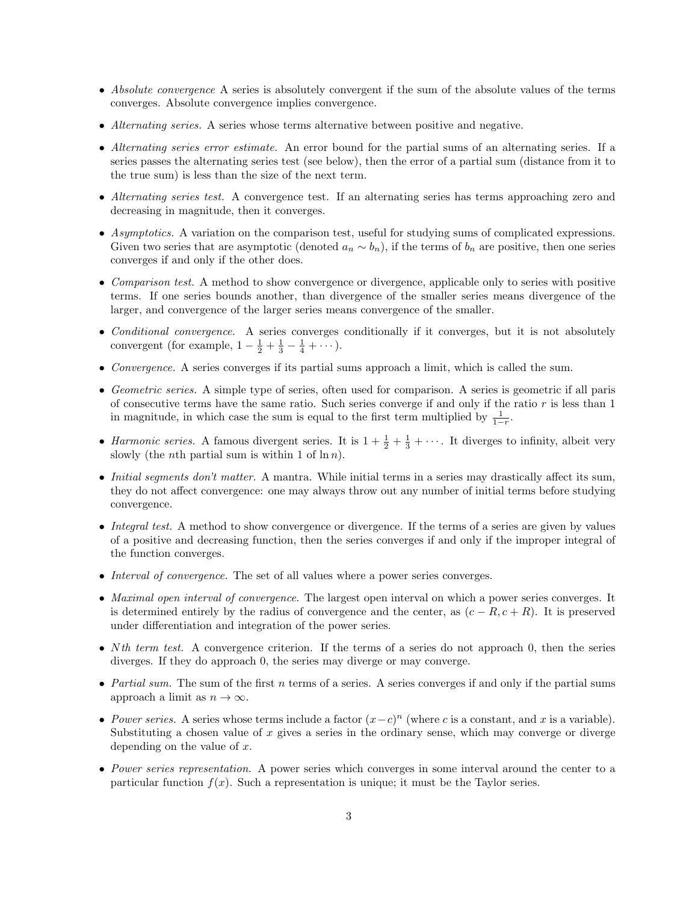- Absolute convergence A series is absolutely convergent if the sum of the absolute values of the terms converges. Absolute convergence implies convergence.
- Alternating series. A series whose terms alternative between positive and negative.
- Alternating series error estimate. An error bound for the partial sums of an alternating series. If a series passes the alternating series test (see below), then the error of a partial sum (distance from it to the true sum) is less than the size of the next term.
- Alternating series test. A convergence test. If an alternating series has terms approaching zero and decreasing in magnitude, then it converges.
- Asymptotics. A variation on the comparison test, useful for studying sums of complicated expressions. Given two series that are asymptotic (denoted  $a_n \sim b_n$ ), if the terms of  $b_n$  are positive, then one series converges if and only if the other does.
- Comparison test. A method to show convergence or divergence, applicable only to series with positive terms. If one series bounds another, than divergence of the smaller series means divergence of the larger, and convergence of the larger series means convergence of the smaller.
- Conditional convergence. A series converges conditionally if it converges, but it is not absolutely convergent (for example,  $1 - \frac{1}{2} + \frac{1}{3} - \frac{1}{4} + \cdots$ ).
- Convergence. A series converges if its partial sums approach a limit, which is called the sum.
- Geometric series. A simple type of series, often used for comparison. A series is geometric if all paris of consecutive terms have the same ratio. Such series converge if and only if the ratio r is less than 1 in magnitude, in which case the sum is equal to the first term multiplied by  $\frac{1}{1-r}$ .
- *Harmonic series*. A famous divergent series. It is  $1 + \frac{1}{2} + \frac{1}{3} + \cdots$ . It diverges to infinity, albeit very slowly (the *n*th partial sum is within 1 of  $\ln n$ ).
- Initial segments don't matter. A mantra. While initial terms in a series may drastically affect its sum. they do not affect convergence: one may always throw out any number of initial terms before studying convergence.
- Integral test. A method to show convergence or divergence. If the terms of a series are given by values of a positive and decreasing function, then the series converges if and only if the improper integral of the function converges.
- Interval of convergence. The set of all values where a power series converges.
- *Maximal open interval of convergence*. The largest open interval on which a power series converges. It is determined entirely by the radius of convergence and the center, as  $(c - R, c + R)$ . It is preserved under differentiation and integration of the power series.
- *Nth term test.* A convergence criterion. If the terms of a series do not approach  $0$ , then the series diverges. If they do approach 0, the series may diverge or may converge.
- Partial sum. The sum of the first  $n$  terms of a series. A series converges if and only if the partial sums approach a limit as  $n \to \infty$ .
- Power series. A series whose terms include a factor  $(x-c)^n$  (where c is a constant, and x is a variable). Substituting a chosen value of  $x$  gives a series in the ordinary sense, which may converge or diverge depending on the value of  $x$ .
- Power series representation. A power series which converges in some interval around the center to a particular function  $f(x)$ . Such a representation is unique; it must be the Taylor series.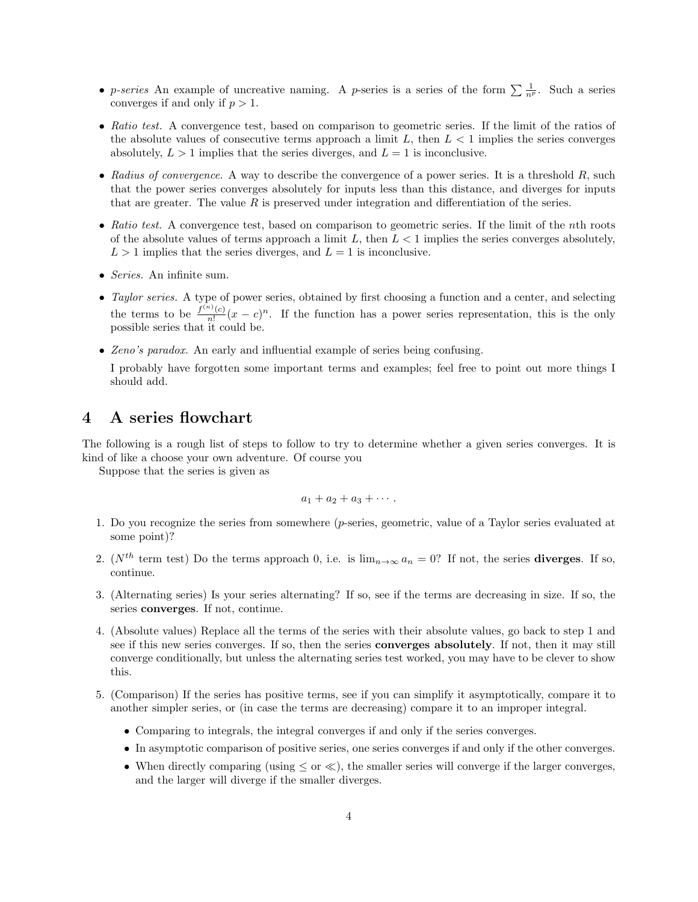- p-series An example of uncreative naming. A p-series is a series of the form  $\sum \frac{1}{n^p}$ . Such a series converges if and only if  $p > 1$ .
- Ratio test. A convergence test, based on comparison to geometric series. If the limit of the ratios of the absolute values of consecutive terms approach a limit  $L$ , then  $L < 1$  implies the series converges absolutely,  $L > 1$  implies that the series diverges, and  $L = 1$  is inconclusive.
- Radius of convergence. A way to describe the convergence of a power series. It is a threshold  $R$ , such that the power series converges absolutely for inputs less than this distance, and diverges for inputs that are greater. The value  $R$  is preserved under integration and differentiation of the series.
- Ratio test. A convergence test, based on comparison to geometric series. If the limit of the nth roots of the absolute values of terms approach a limit  $L$ , then  $L < 1$  implies the series converges absolutely,  $L > 1$  implies that the series diverges, and  $L = 1$  is inconclusive.
- Series. An infinite sum.
- Taylor series. A type of power series, obtained by first choosing a function and a center, and selecting the terms to be  $\frac{f^{(n)}(c)}{n!}$  $\frac{n!}{n!}(x-c)^n$ . If the function has a power series representation, this is the only possible series that it could be.
- Zeno's paradox. An early and influential example of series being confusing.

I probably have forgotten some important terms and examples; feel free to point out more things I should add.

#### 4 A series flowchart

The following is a rough list of steps to follow to try to determine whether a given series converges. It is kind of like a choose your own adventure. Of course you

Suppose that the series is given as

$$
a_1+a_2+a_3+\cdots.
$$

- 1. Do you recognize the series from somewhere (p-series, geometric, value of a Taylor series evaluated at some point)?
- 2. ( $N^{th}$  term test) Do the terms approach 0, i.e. is  $\lim_{n\to\infty} a_n = 0$ ? If not, the series **diverges**. If so, continue.
- 3. (Alternating series) Is your series alternating? If so, see if the terms are decreasing in size. If so, the series converges. If not, continue.
- 4. (Absolute values) Replace all the terms of the series with their absolute values, go back to step 1 and see if this new series converges. If so, then the series converges absolutely. If not, then it may still converge conditionally, but unless the alternating series test worked, you may have to be clever to show this.
- 5. (Comparison) If the series has positive terms, see if you can simplify it asymptotically, compare it to another simpler series, or (in case the terms are decreasing) compare it to an improper integral.
	- Comparing to integrals, the integral converges if and only if the series converges.
	- In asymptotic comparison of positive series, one series converges if and only if the other converges.
	- When directly comparing (using  $\leq$  or  $\leq$ ), the smaller series will converge if the larger converges. and the larger will diverge if the smaller diverges.